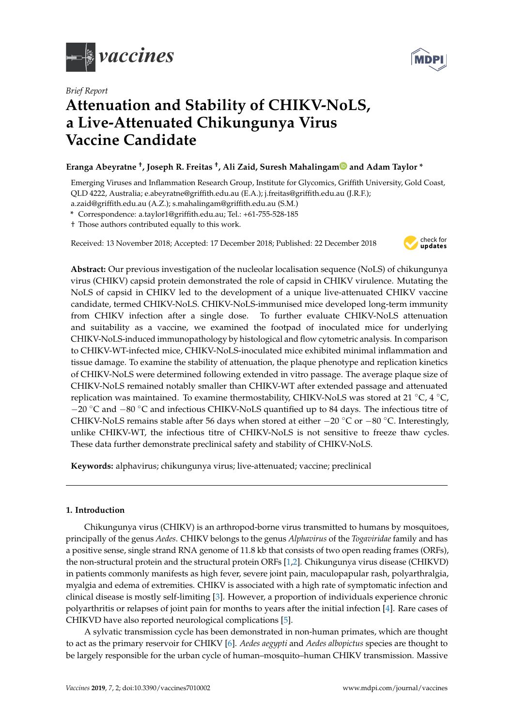



# *Brief Report* **Attenuation and Stability of CHIKV-NoLS, a Live-Attenuated Chikungunya Virus Vaccine Candidate**

# **Eranga Abeyratne † , Joseph R. Freitas † , Ali Zaid, Suresh Mahalingam and Adam Taylor \***

Emerging Viruses and Inflammation Research Group, Institute for Glycomics, Griffith University, Gold Coast, QLD 4222, Australia; e.abeyratne@griffith.edu.au (E.A.); j.freitas@griffith.edu.au (J.R.F.); a.zaid@griffith.edu.au (A.Z.); s.mahalingam@griffith.edu.au (S.M.)

**\*** Correspondence: a.taylor1@griffith.edu.au; Tel.: +61-755-528-185

† Those authors contributed equally to this work.

Received: 13 November 2018; Accepted: 17 December 2018; Published: 22 December 2018 -



**Abstract:** Our previous investigation of the nucleolar localisation sequence (NoLS) of chikungunya virus (CHIKV) capsid protein demonstrated the role of capsid in CHIKV virulence. Mutating the NoLS of capsid in CHIKV led to the development of a unique live-attenuated CHIKV vaccine candidate, termed CHIKV-NoLS. CHIKV-NoLS-immunised mice developed long-term immunity from CHIKV infection after a single dose. To further evaluate CHIKV-NoLS attenuation and suitability as a vaccine, we examined the footpad of inoculated mice for underlying CHIKV-NoLS-induced immunopathology by histological and flow cytometric analysis. In comparison to CHIKV-WT-infected mice, CHIKV-NoLS-inoculated mice exhibited minimal inflammation and tissue damage. To examine the stability of attenuation, the plaque phenotype and replication kinetics of CHIKV-NoLS were determined following extended in vitro passage. The average plaque size of CHIKV-NoLS remained notably smaller than CHIKV-WT after extended passage and attenuated replication was maintained. To examine thermostability, CHIKV-NoLS was stored at 21 ◦C, 4 ◦C, −20 <sup>°</sup>C and −80 <sup>°</sup>C and infectious CHIKV-NoLS quantified up to 84 days. The infectious titre of CHIKV-NoLS remains stable after 56 days when stored at either  $-20$  °C or  $-80$  °C. Interestingly, unlike CHIKV-WT, the infectious titre of CHIKV-NoLS is not sensitive to freeze thaw cycles. These data further demonstrate preclinical safety and stability of CHIKV-NoLS.

**Keywords:** alphavirus; chikungunya virus; live-attenuated; vaccine; preclinical

# **1. Introduction**

Chikungunya virus (CHIKV) is an arthropod-borne virus transmitted to humans by mosquitoes, principally of the genus *Aedes*. CHIKV belongs to the genus *Alphavirus* of the *Togaviridae* family and has a positive sense, single strand RNA genome of 11.8 kb that consists of two open reading frames (ORFs), the non-structural protein and the structural protein ORFs [1,2]. Chikungunya virus disease (CHIKVD) in patients commonly manifests as high fever, severe joint pain, maculopapular rash, polyarthralgia, myalgia and edema of extremities. CHIKV is associated with a high rate of symptomatic infection and clinical disease is mostly self-limiting [3]. However, a proportion of individuals experience chronic polyarthritis or relapses of joint pain for months to years after the initial infection [4]. Rare cases of CHIKVD have also reported neurological complications [5].

A sylvatic transmission cycle has been demonstrated in non-human primates, which are thought to act as the primary reservoir for CHIKV [6]. *Aedes aegypti* and *Aedes albopictus* species are thought to be largely responsible for the urban cycle of human–mosquito–human CHIKV transmission. Massive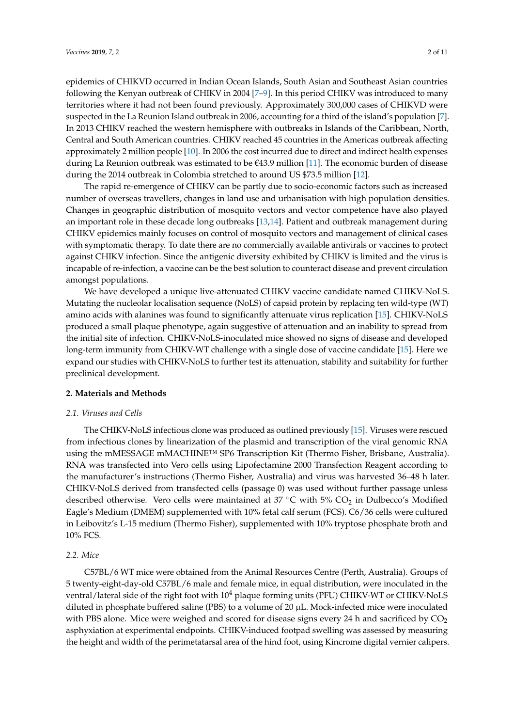epidemics of CHIKVD occurred in Indian Ocean Islands, South Asian and Southeast Asian countries following the Kenyan outbreak of CHIKV in 2004 [7–9]. In this period CHIKV was introduced to many territories where it had not been found previously. Approximately 300,000 cases of CHIKVD were suspected in the La Reunion Island outbreak in 2006, accounting for a third of the island's population [7]. In 2013 CHIKV reached the western hemisphere with outbreaks in Islands of the Caribbean, North, Central and South American countries. CHIKV reached 45 countries in the Americas outbreak affecting approximately 2 million people [10]. In 2006 the cost incurred due to direct and indirect health expenses during La Reunion outbreak was estimated to be €43.9 million [11]. The economic burden of disease during the 2014 outbreak in Colombia stretched to around US \$73.5 million [12].

The rapid re-emergence of CHIKV can be partly due to socio-economic factors such as increased number of overseas travellers, changes in land use and urbanisation with high population densities. Changes in geographic distribution of mosquito vectors and vector competence have also played an important role in these decade long outbreaks [13,14]. Patient and outbreak management during CHIKV epidemics mainly focuses on control of mosquito vectors and management of clinical cases with symptomatic therapy. To date there are no commercially available antivirals or vaccines to protect against CHIKV infection. Since the antigenic diversity exhibited by CHIKV is limited and the virus is incapable of re-infection, a vaccine can be the best solution to counteract disease and prevent circulation amongst populations.

We have developed a unique live-attenuated CHIKV vaccine candidate named CHIKV-NoLS. Mutating the nucleolar localisation sequence (NoLS) of capsid protein by replacing ten wild-type (WT) amino acids with alanines was found to significantly attenuate virus replication [15]. CHIKV-NoLS produced a small plaque phenotype, again suggestive of attenuation and an inability to spread from the initial site of infection. CHIKV-NoLS-inoculated mice showed no signs of disease and developed long-term immunity from CHIKV-WT challenge with a single dose of vaccine candidate [15]. Here we expand our studies with CHIKV-NoLS to further test its attenuation, stability and suitability for further preclinical development.

#### **2. Materials and Methods**

#### *2.1. Viruses and Cells*

The CHIKV-NoLS infectious clone was produced as outlined previously [15]. Viruses were rescued from infectious clones by linearization of the plasmid and transcription of the viral genomic RNA using the mMESSAGE mMACHINE™ SP6 Transcription Kit (Thermo Fisher, Brisbane, Australia). RNA was transfected into Vero cells using Lipofectamine 2000 Transfection Reagent according to the manufacturer's instructions (Thermo Fisher, Australia) and virus was harvested 36–48 h later. CHIKV-NoLS derived from transfected cells (passage 0) was used without further passage unless described otherwise. Vero cells were maintained at  $37 \text{ °C}$  with  $5\%$  CO<sub>2</sub> in Dulbecco's Modified Eagle's Medium (DMEM) supplemented with 10% fetal calf serum (FCS). C6/36 cells were cultured in Leibovitz's L-15 medium (Thermo Fisher), supplemented with 10% tryptose phosphate broth and 10% FCS.

### *2.2. Mice*

C57BL/6 WT mice were obtained from the Animal Resources Centre (Perth, Australia). Groups of 5 twenty-eight-day-old C57BL/6 male and female mice, in equal distribution, were inoculated in the ventral/lateral side of the right foot with  $10^4$  plaque forming units (PFU) CHIKV-WT or CHIKV-NoLS diluted in phosphate buffered saline (PBS) to a volume of 20 µL. Mock-infected mice were inoculated with PBS alone. Mice were weighed and scored for disease signs every 24 h and sacrificed by  $CO<sub>2</sub>$ asphyxiation at experimental endpoints. CHIKV-induced footpad swelling was assessed by measuring the height and width of the perimetatarsal area of the hind foot, using Kincrome digital vernier calipers.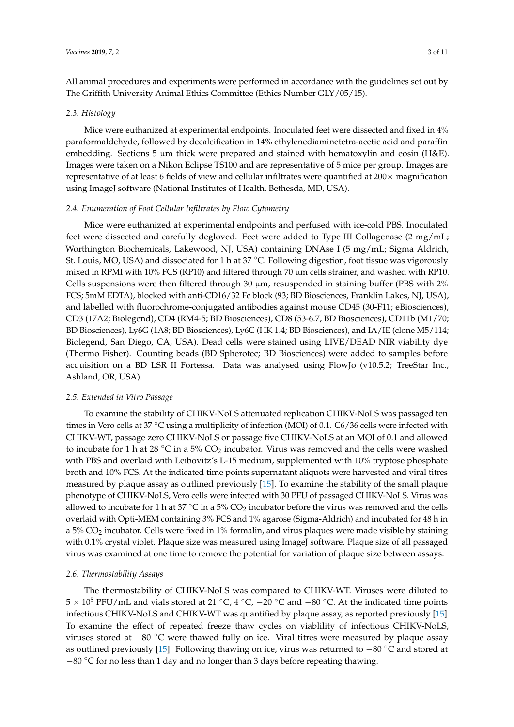All animal procedures and experiments were performed in accordance with the guidelines set out by The Griffith University Animal Ethics Committee (Ethics Number GLY/05/15).

#### *2.3. Histology*

Mice were euthanized at experimental endpoints. Inoculated feet were dissected and fixed in 4% paraformaldehyde, followed by decalcification in 14% ethylenediaminetetra-acetic acid and paraffin embedding. Sections 5  $\mu$ m thick were prepared and stained with hematoxylin and eosin (H&E). Images were taken on a Nikon Eclipse TS100 and are representative of 5 mice per group. Images are representative of at least 6 fields of view and cellular infiltrates were quantified at  $200\times$  magnification using ImageJ software (National Institutes of Health, Bethesda, MD, USA).

#### *2.4. Enumeration of Foot Cellular Infiltrates by Flow Cytometry*

Mice were euthanized at experimental endpoints and perfused with ice-cold PBS. Inoculated feet were dissected and carefully degloved. Feet were added to Type III Collagenase (2 mg/mL; Worthington Biochemicals, Lakewood, NJ, USA) containing DNAse I (5 mg/mL; Sigma Aldrich, St. Louis, MO, USA) and dissociated for 1 h at 37 ℃. Following digestion, foot tissue was vigorously mixed in RPMI with 10% FCS (RP10) and filtered through 70 µm cells strainer, and washed with RP10. Cells suspensions were then filtered through 30  $\mu$ m, resuspended in staining buffer (PBS with 2% FCS; 5mM EDTA), blocked with anti-CD16/32 Fc block (93; BD Biosciences, Franklin Lakes, NJ, USA), and labelled with fluorochrome-conjugated antibodies against mouse CD45 (30-F11; eBiosciences), CD3 (17A2; Biolegend), CD4 (RM4-5; BD Biosciences), CD8 (53-6.7, BD Biosciences), CD11b (M1/70; BD Biosciences), Ly6G (1A8; BD Biosciences), Ly6C (HK 1.4; BD Biosciences), and IA/IE (clone M5/114; Biolegend, San Diego, CA, USA). Dead cells were stained using LIVE/DEAD NIR viability dye (Thermo Fisher). Counting beads (BD Spherotec; BD Biosciences) were added to samples before acquisition on a BD LSR II Fortessa. Data was analysed using FlowJo (v10.5.2; TreeStar Inc., Ashland, OR, USA).

#### *2.5. Extended in Vitro Passage*

To examine the stability of CHIKV-NoLS attenuated replication CHIKV-NoLS was passaged ten times in Vero cells at 37 °C using a multiplicity of infection (MOI) of 0.1. C6/36 cells were infected with CHIKV-WT, passage zero CHIKV-NoLS or passage five CHIKV-NoLS at an MOI of 0.1 and allowed to incubate for 1 h at 28  $\degree$ C in a 5% CO<sub>2</sub> incubator. Virus was removed and the cells were washed with PBS and overlaid with Leibovitz's L-15 medium, supplemented with 10% tryptose phosphate broth and 10% FCS. At the indicated time points supernatant aliquots were harvested and viral titres measured by plaque assay as outlined previously [15]. To examine the stability of the small plaque phenotype of CHIKV-NoLS, Vero cells were infected with 30 PFU of passaged CHIKV-NoLS. Virus was allowed to incubate for 1 h at 37  $^{\circ}$ C in a 5% CO<sub>2</sub> incubator before the virus was removed and the cells overlaid with Opti-MEM containing 3% FCS and 1% agarose (Sigma-Aldrich) and incubated for 48 h in a 5%  $CO<sub>2</sub>$  incubator. Cells were fixed in 1% formalin, and virus plaques were made visible by staining with 0.1% crystal violet. Plaque size was measured using ImageJ software. Plaque size of all passaged virus was examined at one time to remove the potential for variation of plaque size between assays.

# *2.6. Thermostability Assays*

The thermostability of CHIKV-NoLS was compared to CHIKV-WT. Viruses were diluted to  $5 \times 10^5$  PFU/mL and vials stored at 21 °C, 4 °C, –20 °C and –80 °C. At the indicated time points infectious CHIKV-NoLS and CHIKV-WT was quantified by plaque assay, as reported previously [15]. To examine the effect of repeated freeze thaw cycles on viablility of infectious CHIKV-NoLS, viruses stored at  $-80$  °C were thawed fully on ice. Viral titres were measured by plaque assay as outlined previously [15]. Following thawing on ice, virus was returned to −80 ◦C and stored at  $-80$  °C for no less than 1 day and no longer than 3 days before repeating thawing.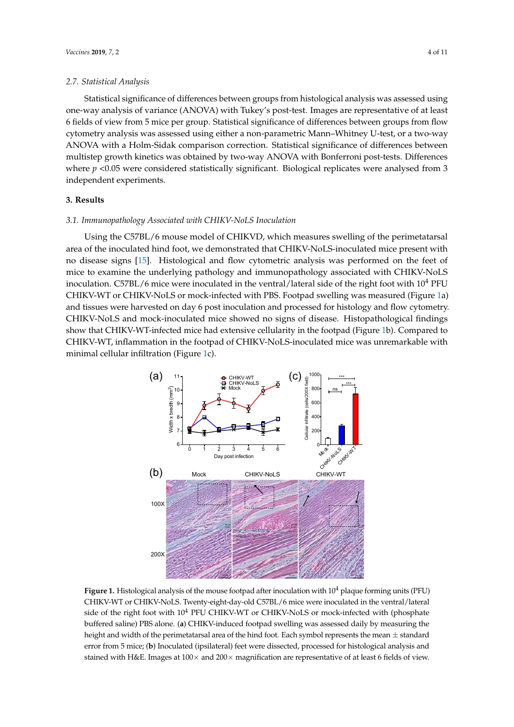#### *2.7. Statistical Analysis*

Statistical significance of differences between groups from histological analysis was assessed using one-way analysis of variance (ANOVA) with Tukey's post-test. Images are representative of at least 6 fields of view from 5 mice per group. Statistical significance of differences between groups from flow cytometry analysis was assessed using either a non-parametric Mann–Whitney U-test, or a two-way ANOVA with a Holm-Sidak comparison correction. Statistical significance of differences between multistep growth kinetics was obtained by two-way ANOVA with Bonferroni post-tests. Differences where *p* <0.05 were considered statistically significant. Biological replicates were analysed from 3 independent experiments.

#### **3. Results**

#### *3.1. Immunopathology Associated with CHIKV-NoLS Inoculation*

Using the C57BL/6 mouse model of CHIKVD, which measures swelling of the perimetatarsal area of the inoculated hind foot, we demonstrated that CHIKV-NoLS-inoculated mice present with no disease signs [15]. Histological and flow cytometric analysis was performed on the feet of mice to examine the underlying pathology and immunopathology associated with CHIKV-NoLS inoculation. C57BL/6 mice were inoculated in the ventral/lateral side of the right foot with  $10^4$  PFU CHIKV-WT or CHIKV-NoLS or mock-infected with PBS. Footpad swelling was measured (Figure 1a) and tissues were harvested on day 6 post inoculation and processed for histology and flow cytometry. CHIKV-NoLS and mock-inoculated mice showed no signs of disease. Histopathological findings show that CHIKV-WT-infected mice had extensive cellularity in the footpad (Figure 1b). Compared to CHIKV-WT, inflammation in the footpad of CHIKV-NoLS-inoculated mice was unremarkable with minimal cellular infiltration (Figure 1c).



**Figure 1.** Histological analysis of the mouse footpad after inoculation with 10<sup>4</sup> plaque forming units (PFU) CHIKV-WT or CHIKV-NoLS. Twenty-eight-day-old C57BL/6 mice were inoculated in the ventral/lateral side of the right foot with  $10^4$  PFU CHIKV-WT or CHIKV-NoLS or mock-infected with (phosphate buffered saline) PBS alone. (**a**) CHIKV-induced footpad swelling was assessed daily by measuring the height and width of the perimetatarsal area of the hind foot. Each symbol represents the mean  $\pm$  standard error from 5 mice; (**b**) Inoculated (ipsilateral) feet were dissected, processed for histological analysis and stained with H&E. Images at  $100\times$  and  $200\times$  magnification are representative of at least 6 fields of view.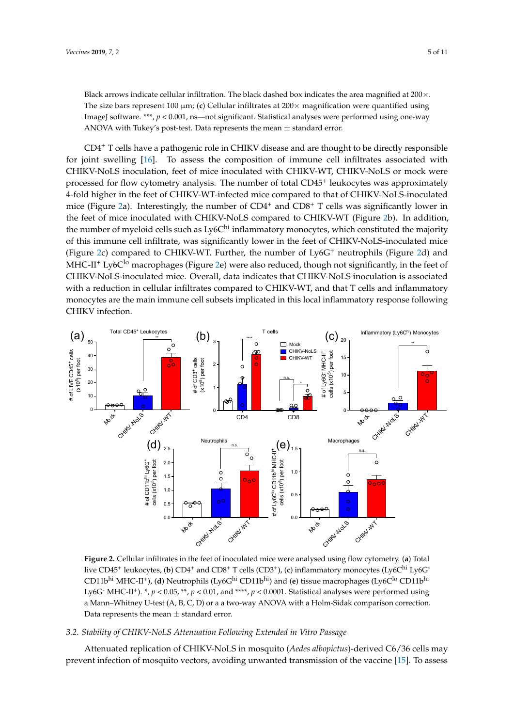Black arrows indicate cellular infiltration. The black dashed box indicates the area magnified at 200×. The size bars represent 100  $\mu$ m; (c) Cellular infiltrates at 200 $\times$  magnification were quantified using ImageJ software. \*\*\*, *p* < 0.001, ns—not significant. Statistical analyses were performed using one-way ANOVA with Tukey's post-test. Data represents the mean  $\pm$  standard error.

CD4<sup>+</sup> T cells have a pathogenic role in CHIKV disease and are thought to be directly responsible for joint swelling [16]. To assess the composition of immune cell infiltrates associated with CHIKV-NoLS inoculation, feet of mice inoculated with CHIKV-WT, CHIKV-NoLS or mock were processed for flow cytometry analysis. The number of total CD45<sup>+</sup> leukocytes was approximately 4-fold higher in the feet of CHIKV-WT-infected mice compared to that of CHIKV-NoLS-inoculated mice (Figure 2a). Interestingly, the number of CD4<sup>+</sup> and CD8<sup>+</sup> T cells was significantly lower in the feet of mice inoculated with CHIKV-NoLS compared to CHIKV-WT (Figure 2b). In addition, the number of myeloid cells such as  $Ly_0C<sup>hi</sup>$  inflammatory monocytes, which constituted the majority of this immune cell infiltrate, was significantly lower in the feet of CHIKV-NoLS-inoculated mice (Figure 2c) compared to CHIKV-WT. Further, the number of  $Ly_0G^+$  neutrophils (Figure 2d) and MHC-II<sup>+</sup> Ly6C<sup>lo</sup> macrophages (Figure 2e) were also reduced, though not significantly, in the feet of CHIKV-NoLS-inoculated mice. Overall, data indicates that CHIKV-NoLS inoculation is associated with a reduction in cellular infiltrates compared to CHIKV-WT, and that T cells and inflammatory monocytes are the main immune cell subsets implicated in this local inflammatory response following CHIKV infection.



**Figure 2.** Cellular infiltrates in the feet of inoculated mice were analysed using flow cytometry. (**a**) Total live CD45<sup>+</sup> leukocytes, (**b**) CD4<sup>+</sup> and CD8<sup>+</sup> T cells (CD3<sup>+</sup>), (**c**) inflammatory monocytes (Ly6C<sup>hi</sup> Ly6G<sup>-</sup> CD11b<sup>hi</sup> MHC-II<sup>+</sup>), (**d**) Neutrophils (Ly6G<sup>hi</sup> CD11b<sup>hi</sup>) and (**e**) tissue macrophages (Ly6C<sup>lo</sup> CD11b<sup>hi</sup> Ly6G<sup>-</sup> MHC-II<sup>+</sup>). \*,  $p < 0.05$ , \*\*,  $p < 0.01$ , and \*\*\*\*,  $p < 0.0001$ . Statistical analyses were performed using a Mann–Whitney U-test (A, B, C, D) or a a two-way ANOVA with a Holm-Sidak comparison correction. Data represents the mean  $\pm$  standard error.

#### *3.2. Stability of CHIKV-NoLS Attenuation Following Extended in Vitro Passage*

Attenuated replication of CHIKV-NoLS in mosquito (*Aedes albopictus*)-derived C6/36 cells may prevent infection of mosquito vectors, avoiding unwanted transmission of the vaccine [15]. To assess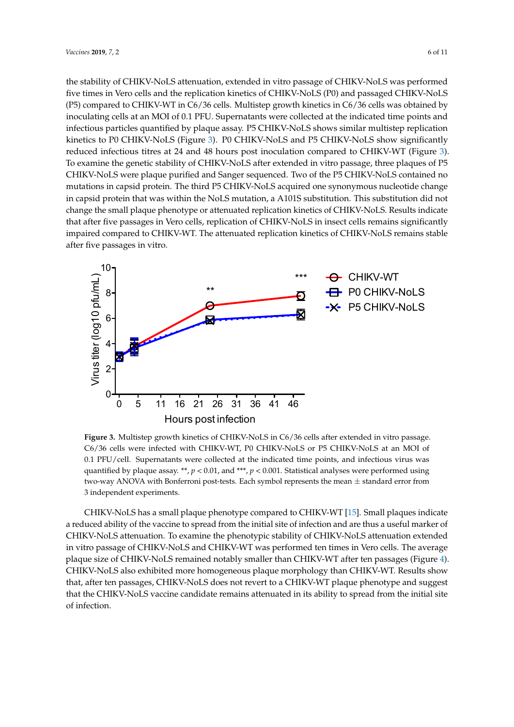the stability of CHIKV-NoLS attenuation, extended in vitro passage of CHIKV-NoLS was performed five times in Vero cells and the replication kinetics of CHIKV-NoLS (P0) and passaged CHIKV-NoLS (P5) compared to CHIKV-WT in C6/36 cells. Multistep growth kinetics in C6/36 cells was obtained by inoculating cells at an MOI of 0.1 PFU. Supernatants were collected at the indicated time points and infectious particles quantified by plaque assay. P5 CHIKV-NoLS shows similar multistep replication kinetics to P0 CHIKV-NoLS (Figure 3). P0 CHIKV-NoLS and P5 CHIKV-NoLS show significantly reduced infectious titres at 24 and 48 hours post inoculation compared to CHIKV-WT (Figure 3). To examine the genetic stability of CHIKV-NoLS after extended in vitro passage, three plaques of P5 CHIKV-NoLS were plaque purified and Sanger sequenced. Two of the P5 CHIKV-NoLS contained no mutations in capsid protein. The third P5 CHIKV-NoLS acquired one synonymous nucleotide change in capsid protein that was within the NoLS mutation, a A101S substitution. This substitution did not change the small plaque phenotype or attenuated replication kinetics of CHIKV-NoLS. Results indicate that after five passages in Vero cells, replication of CHIKV-NoLS in insect cells remains significantly impaired compared to CHIKV-WT. The attenuated replication kinetics of CHIKV-NoLS remains stable after five passages in vitro.



**Figure 3.** Multistep growth kinetics of CHIKV-NoLS in C6/36 cells after extended in vitro passage. C6/36 cells were infected with CHIKV-WT, P0 CHIKV-NoLS or P5 CHIKV-NoLS at an MOI of 0.1 PFU/cell. Supernatants were collected at the indicated time points, and infectious virus was quantified by plaque assay. \*\*, *p* < 0.01, and \*\*\*, *p* < 0.001. Statistical analyses were performed using two-way ANOVA with Bonferroni post-tests. Each symbol represents the mean  $\pm$  standard error from 3 independent experiments.

CHIKV-NoLS has a small plaque phenotype compared to CHIKV-WT [15]. Small plaques indicate a reduced ability of the vaccine to spread from the initial site of infection and are thus a useful marker of CHIKV-NoLS attenuation. To examine the phenotypic stability of CHIKV-NoLS attenuation extended in vitro passage of CHIKV-NoLS and CHIKV-WT was performed ten times in Vero cells. The average plaque size of CHIKV-NoLS remained notably smaller than CHIKV-WT after ten passages (Figure 4). CHIKV-NoLS also exhibited more homogeneous plaque morphology than CHIKV-WT. Results show that, after ten passages, CHIKV-NoLS does not revert to a CHIKV-WT plaque phenotype and suggest that the CHIKV-NoLS vaccine candidate remains attenuated in its ability to spread from the initial site of infection.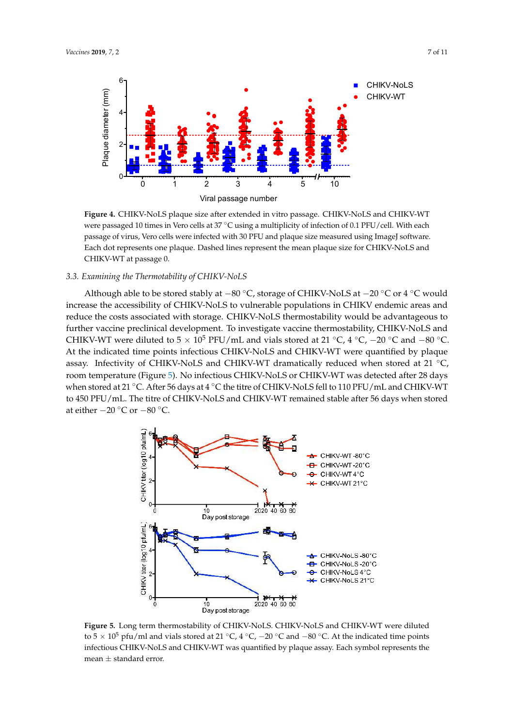

Figure 4. CHIKV-NoLS plaque size after extended in vitro passage. CHIKV-NoLS and CHIKV-WT were passaged 10 times in Vero cells at 37 °C using a multiplicity of infection of 0.1 PFU/cell. With each passage of virus, Vero cells were infected with 30 PFU and plaque size measured using ImageJ software. Each dot represents one plaque. Dashed lines represent the mean plaque size for CHIKV-NoLS and CHIKV-WT at passage 0.

#### *3.3. Examining the Thermotability of CHIKV-NoLS*

Although able to be stored stably at  $-80$  °C, storage of CHIKV-NoLS at  $-20$  °C or 4 °C would further vaccine preclinical development. To investigate vaccine thermostability, CHIKV-NoLS and to 450 PFU/mL. The titre of CHIKV-NoLS and CHIKV-WT remained stable after 56 days when stored increase the accessibility of CHIKV-NoLS to vulnerable populations in CHIKV endemic areas and reduce the costs associated with storage. CHIKV-NoLS thermostability would be advantageous to CHIKV-WT were diluted to  $5 \times 10^5$  PFU/mL and vials stored at  $21 \degree C$ ,  $4 \degree C$ ,  $-20 \degree C$  and  $-80 \degree C$ . At the indicated time points infectious CHIKV-NoLS and CHIKV-WT were quantified by plaque assay. Infectivity of CHIKV-NoLS and CHIKV-WT dramatically reduced when stored at 21 ◦C, room temperature (Figure 5). No infectious CHIKV-NoLS or CHIKV-WT was detected after 28 days when stored at 21 °C. After 56 days at 4 °C the titre of CHIKV-NoLS fell to 110 PFU/mL and CHIKV-WT at either  $-20$  °C or  $-80$  °C.



Figure 5. Long term thermostability of CHIKV-NoLS. CHIKV-NoLS and CHIKV-WT were diluted to 5 × 10<sup>5</sup> pfu/ml and vials stored at 21 °C, 4 °C, −20 °C and −80 °C. At the indicated time points infectious CHIKV-NoLS and CHIKV-WT was quantified by plaque assay. Each symbol represents the mean  $\pm$  standard error.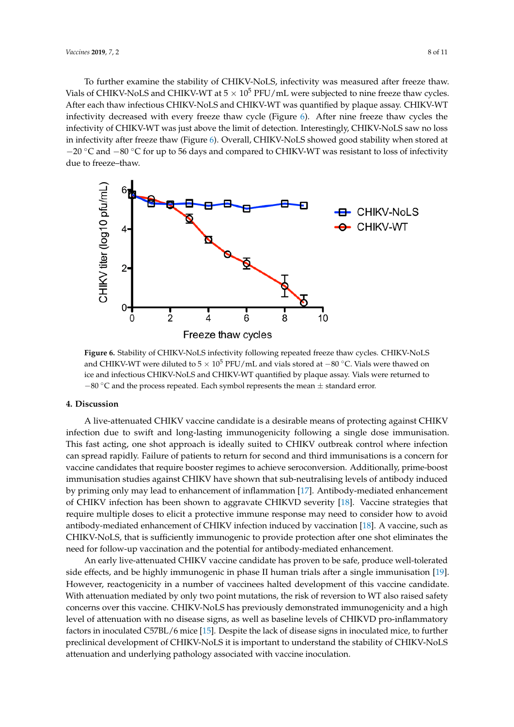To further examine the stability of CHIKV-NoLS, infectivity was measured after freeze thaw. Vials of CHIKV-NoLS and CHIKV-WT at  $5 \times 10^5$  PFU/mL were subjected to nine freeze thaw cycles. After each thaw infectious CHIKV-NoLS and CHIKV-WT was quantified by plaque assay. CHIKV-WT infectivity decreased with every freeze thaw cycle (Figure 6). After nine freeze thaw cycles the infectivity of CHIKV-WT was just above the limit of detection. Interestingly, CHIKV-NoLS saw no loss in infectivity after freeze thaw (Figure 6). Overall, CHIKV-NoLS showed good stability when stored at −20 °C and −80 °C for up to 56 days and compared to CHIKV-WT was resistant to loss of infectivity due to freeze–thaw.



**Figure 6.** Stability of CHIKV-NoLS infectivity following repeated freeze thaw cycles. CHIKV-NoLS and CHIKV-WT were diluted to  $5 \times 10^5$  PFU/mL and vials stored at  $-80$  °C. Vials were thawed on ice and infectious CHIKV-NoLS and CHIKV-WT quantified by plaque assay. Vials were returned to −<sup>80</sup> ◦C and the process repeated. Each symbol represents the mean ± standard error.

## **4. Discussion**

A live-attenuated CHIKV vaccine candidate is a desirable means of protecting against CHIKV infection due to swift and long-lasting immunogenicity following a single dose immunisation. This fast acting, one shot approach is ideally suited to CHIKV outbreak control where infection can spread rapidly. Failure of patients to return for second and third immunisations is a concern for vaccine candidates that require booster regimes to achieve seroconversion. Additionally, prime-boost immunisation studies against CHIKV have shown that sub-neutralising levels of antibody induced by priming only may lead to enhancement of inflammation [17]. Antibody-mediated enhancement of CHIKV infection has been shown to aggravate CHIKVD severity [18]. Vaccine strategies that require multiple doses to elicit a protective immune response may need to consider how to avoid antibody-mediated enhancement of CHIKV infection induced by vaccination [18]. A vaccine, such as CHIKV-NoLS, that is sufficiently immunogenic to provide protection after one shot eliminates the need for follow-up vaccination and the potential for antibody-mediated enhancement.

An early live-attenuated CHIKV vaccine candidate has proven to be safe, produce well-tolerated side effects, and be highly immunogenic in phase II human trials after a single immunisation [19]. However, reactogenicity in a number of vaccinees halted development of this vaccine candidate. With attenuation mediated by only two point mutations, the risk of reversion to WT also raised safety concerns over this vaccine. CHIKV-NoLS has previously demonstrated immunogenicity and a high level of attenuation with no disease signs, as well as baseline levels of CHIKVD pro-inflammatory factors in inoculated C57BL/6 mice [15]. Despite the lack of disease signs in inoculated mice, to further preclinical development of CHIKV-NoLS it is important to understand the stability of CHIKV-NoLS attenuation and underlying pathology associated with vaccine inoculation.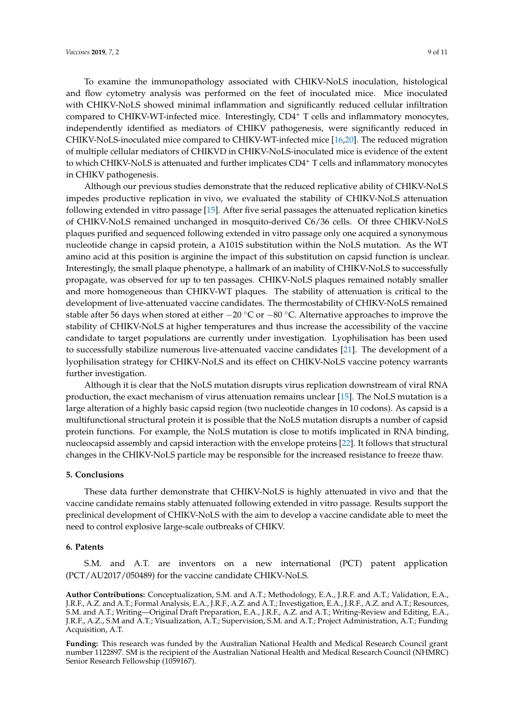To examine the immunopathology associated with CHIKV-NoLS inoculation, histological and flow cytometry analysis was performed on the feet of inoculated mice. Mice inoculated with CHIKV-NoLS showed minimal inflammation and significantly reduced cellular infiltration compared to CHIKV-WT-infected mice. Interestingly, CD4<sup>+</sup> T cells and inflammatory monocytes, independently identified as mediators of CHIKV pathogenesis, were significantly reduced in CHIKV-NoLS-inoculated mice compared to CHIKV-WT-infected mice [16,20]. The reduced migration of multiple cellular mediators of CHIKVD in CHIKV-NoLS-inoculated mice is evidence of the extent to which CHIKV-NoLS is attenuated and further implicates CD4<sup>+</sup> T cells and inflammatory monocytes in CHIKV pathogenesis.

Although our previous studies demonstrate that the reduced replicative ability of CHIKV-NoLS impedes productive replication in vivo, we evaluated the stability of CHIKV-NoLS attenuation following extended in vitro passage [15]. After five serial passages the attenuated replication kinetics of CHIKV-NoLS remained unchanged in mosquito-derived C6/36 cells. Of three CHIKV-NoLS plaques purified and sequenced following extended in vitro passage only one acquired a synonymous nucleotide change in capsid protein, a A101S substitution within the NoLS mutation. As the WT amino acid at this position is arginine the impact of this substitution on capsid function is unclear. Interestingly, the small plaque phenotype, a hallmark of an inability of CHIKV-NoLS to successfully propagate, was observed for up to ten passages. CHIKV-NoLS plaques remained notably smaller and more homogeneous than CHIKV-WT plaques. The stability of attenuation is critical to the development of live-attenuated vaccine candidates. The thermostability of CHIKV-NoLS remained stable after 56 days when stored at either −20 °C or −80 °C. Alternative approaches to improve the stability of CHIKV-NoLS at higher temperatures and thus increase the accessibility of the vaccine candidate to target populations are currently under investigation. Lyophilisation has been used to successfully stabilize numerous live-attenuated vaccine candidates [21]. The development of a lyophilisation strategy for CHIKV-NoLS and its effect on CHIKV-NoLS vaccine potency warrants further investigation.

Although it is clear that the NoLS mutation disrupts virus replication downstream of viral RNA production, the exact mechanism of virus attenuation remains unclear [15]. The NoLS mutation is a large alteration of a highly basic capsid region (two nucleotide changes in 10 codons). As capsid is a multifunctional structural protein it is possible that the NoLS mutation disrupts a number of capsid protein functions. For example, the NoLS mutation is close to motifs implicated in RNA binding, nucleocapsid assembly and capsid interaction with the envelope proteins [22]. It follows that structural changes in the CHIKV-NoLS particle may be responsible for the increased resistance to freeze thaw.

#### **5. Conclusions**

These data further demonstrate that CHIKV-NoLS is highly attenuated in vivo and that the vaccine candidate remains stably attenuated following extended in vitro passage. Results support the preclinical development of CHIKV-NoLS with the aim to develop a vaccine candidate able to meet the need to control explosive large-scale outbreaks of CHIKV.

#### **6. Patents**

S.M. and A.T. are inventors on a new international (PCT) patent application (PCT/AU2017/050489) for the vaccine candidate CHIKV-NoLS.

**Author Contributions:** Conceptualization, S.M. and A.T.; Methodology, E.A., J.R.F. and A.T.; Validation, E.A., J.R.F., A.Z. and A.T.; Formal Analysis, E.A., J.R.F., A.Z. and A.T.; Investigation, E.A., J.R.F., A.Z. and A.T.; Resources, S.M. and A.T.; Writing—Original Draft Preparation, E.A., J.R.F., A.Z. and A.T.; Writing-Review and Editing, E.A., J.R.F., A.Z., S.M and A.T.; Visualization, A.T.; Supervision, S.M. and A.T.; Project Administration, A.T.; Funding Acquisition, A.T.

**Funding:** This research was funded by the Australian National Health and Medical Research Council grant number 1122897. SM is the recipient of the Australian National Health and Medical Research Council (NHMRC) Senior Research Fellowship (1059167).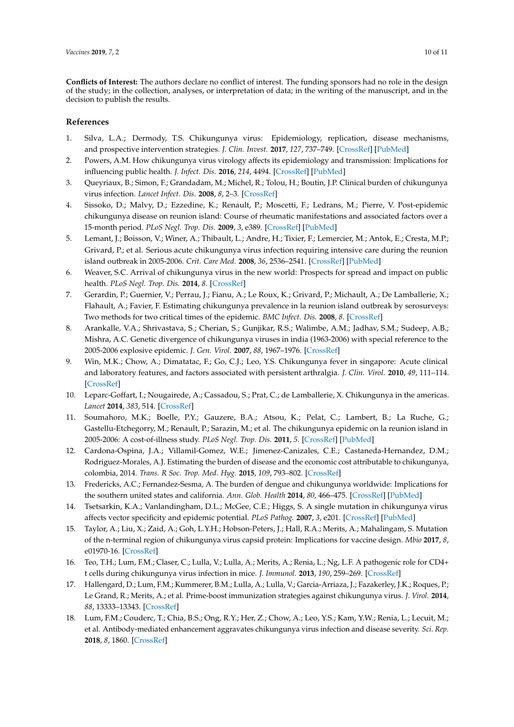**Conflicts of Interest:** The authors declare no conflict of interest. The funding sponsors had no role in the design of the study; in the collection, analyses, or interpretation of data; in the writing of the manuscript, and in the decision to publish the results.

#### **References**

- 1. Silva, L.A.; Dermody, T.S. Chikungunya virus: Epidemiology, replication, disease mechanisms, and prospective intervention strategies. *J. Clin. Invest.* **2017**, *127*, 737–749. [CrossRef] [PubMed]
- 2. Powers, A.M. How chikungunya virus virology affects its epidemiology and transmission: Implications for influencing public health. *J. Infect. Dis.* **2016**, *214*, 4494. [CrossRef] [PubMed]
- 3. Queyriaux, B.; Simon, F.; Grandadam, M.; Michel, R.; Tolou, H.; Boutin, J.P. Clinical burden of chikungunya virus infection. *Lancet Infect. Dis.* **2008**, *8*, 2–3. [CrossRef]
- 4. Sissoko, D.; Malvy, D.; Ezzedine, K.; Renault, P.; Moscetti, F.; Ledrans, M.; Pierre, V. Post-epidemic chikungunya disease on reunion island: Course of rheumatic manifestations and associated factors over a 15-month period. *PLoS Negl. Trop. Dis.* **2009**, *3*, e389. [CrossRef] [PubMed]
- 5. Lemant, J.; Boisson, V.; Winer, A.; Thibault, L.; Andre, H.; Tixier, F.; Lemercier, M.; Antok, E.; Cresta, M.P.; Grivard, P.; et al. Serious acute chikungunya virus infection requiring intensive care during the reunion island outbreak in 2005-2006. *Crit. Care Med.* **2008**, *36*, 2536–2541. [CrossRef] [PubMed]
- 6. Weaver, S.C. Arrival of chikungunya virus in the new world: Prospects for spread and impact on public health. *PLoS Negl. Trop. Dis.* **2014**, *8*. [CrossRef]
- 7. Gerardin, P.; Guernier, V.; Perrau, J.; Fianu, A.; Le Roux, K.; Grivard, P.; Michault, A.; De Lamballerie, X.; Flahault, A.; Favier, F. Estimating chikungunya prevalence in la reunion island outbreak by serosurveys: Two methods for two critical times of the epidemic. *BMC Infect. Dis.* **2008**, *8*. [CrossRef]
- 8. Arankalle, V.A.; Shrivastava, S.; Cherian, S.; Gunjikar, R.S.; Walimbe, A.M.; Jadhav, S.M.; Sudeep, A.B.; Mishra, A.C. Genetic divergence of chikungunya viruses in india (1963-2006) with special reference to the 2005-2006 explosive epidemic. *J. Gen. Virol.* **2007**, *88*, 1967–1976. [CrossRef]
- 9. Win, M.K.; Chow, A.; Dimatatac, F.; Go, C.J.; Leo, Y.S. Chikungunya fever in singapore: Acute clinical and laboratory features, and factors associated with persistent arthralgia. *J. Clin. Virol.* **2010**, *49*, 111–114. [CrossRef]
- 10. Leparc-Goffart, I.; Nougairede, A.; Cassadou, S.; Prat, C.; de Lamballerie, X. Chikungunya in the americas. *Lancet* **2014**, *383*, 514. [CrossRef]
- 11. Soumahoro, M.K.; Boelle, P.Y.; Gauzere, B.A.; Atsou, K.; Pelat, C.; Lambert, B.; La Ruche, G.; Gastellu-Etchegorry, M.; Renault, P.; Sarazin, M.; et al. The chikungunya epidemic on la reunion island in 2005-2006: A cost-of-illness study. *PLoS Negl. Trop. Dis.* **2011**, *5*. [CrossRef] [PubMed]
- 12. Cardona-Ospina, J.A.; Villamil-Gomez, W.E.; Jimenez-Canizales, C.E.; Castaneda-Hernandez, D.M.; Rodriguez-Morales, A.J. Estimating the burden of disease and the economic cost attributable to chikungunya, colombia, 2014. *Trans. R Soc. Trop. Med. Hyg.* **2015**, *109*, 793–802. [CrossRef]
- 13. Fredericks, A.C.; Fernandez-Sesma, A. The burden of dengue and chikungunya worldwide: Implications for the southern united states and california. *Ann. Glob. Health* **2014**, *80*, 466–475. [CrossRef] [PubMed]
- 14. Tsetsarkin, K.A.; Vanlandingham, D.L.; McGee, C.E.; Higgs, S. A single mutation in chikungunya virus affects vector specificity and epidemic potential. *PLoS Pathog.* **2007**, *3*, e201. [CrossRef] [PubMed]
- 15. Taylor, A.; Liu, X.; Zaid, A.; Goh, L.Y.H.; Hobson-Peters, J.; Hall, R.A.; Merits, A.; Mahalingam, S. Mutation of the n-terminal region of chikungunya virus capsid protein: Implications for vaccine design. *Mbio* **2017**, *8*, e01970-16. [CrossRef]
- 16. Teo, T.H.; Lum, F.M.; Claser, C.; Lulla, V.; Lulla, A.; Merits, A.; Renia, L.; Ng, L.F. A pathogenic role for CD4+ t cells during chikungunya virus infection in mice. *J. Immunol.* **2013**, *190*, 259–269. [CrossRef]
- 17. Hallengard, D.; Lum, F.M.; Kummerer, B.M.; Lulla, A.; Lulla, V.; Garcia-Arriaza, J.; Fazakerley, J.K.; Roques, P.; Le Grand, R.; Merits, A.; et al. Prime-boost immunization strategies against chikungunya virus. *J. Virol.* **2014**, *88*, 13333–13343. [CrossRef]
- 18. Lum, F.M.; Couderc, T.; Chia, B.S.; Ong, R.Y.; Her, Z.; Chow, A.; Leo, Y.S.; Kam, Y.W.; Renia, L.; Lecuit, M.; et al. Antibody-mediated enhancement aggravates chikungunya virus infection and disease severity. *Sci. Rep.* **2018**, *8*, 1860. [CrossRef]